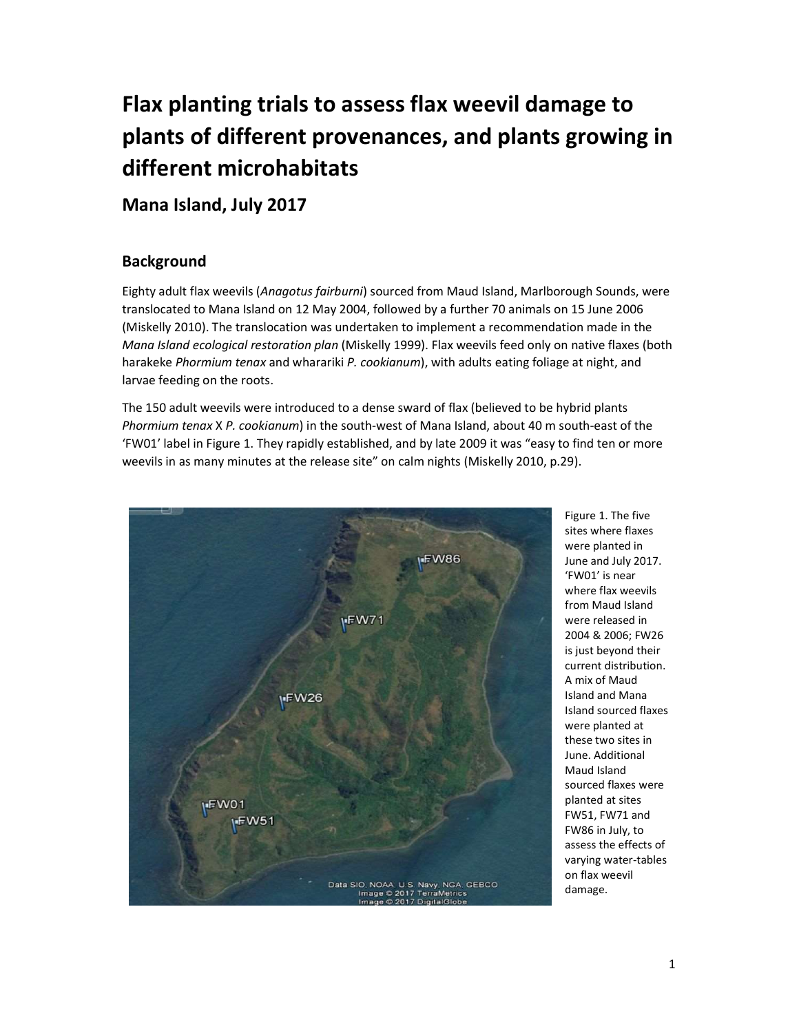# Flax planting trials to assess flax weevil damage to plants of different provenances, and plants growing in different microhabitats

Mana Island, July 2017

# Background

Eighty adult flax weevils (Anagotus fairburni) sourced from Maud Island, Marlborough Sounds, were translocated to Mana Island on 12 May 2004, followed by a further 70 animals on 15 June 2006 (Miskelly 2010). The translocation was undertaken to implement a recommendation made in the Mana Island ecological restoration plan (Miskelly 1999). Flax weevils feed only on native flaxes (both harakeke Phormium tenax and wharariki P. cookianum), with adults eating foliage at night, and larvae feeding on the roots.

The 150 adult weevils were introduced to a dense sward of flax (believed to be hybrid plants Phormium tenax X P. cookianum) in the south-west of Mana Island, about 40 m south-east of the 'FW01' label in Figure 1. They rapidly established, and by late 2009 it was "easy to find ten or more weevils in as many minutes at the release site" on calm nights (Miskelly 2010, p.29).



Figure 1. The five sites where flaxes were planted in June and July 2017. 'FW01' is near where flax weevils from Maud Island were released in 2004 & 2006; FW26 is just beyond their current distribution. A mix of Maud Island and Mana Island sourced flaxes were planted at these two sites in June. Additional Maud Island sourced flaxes were planted at sites FW51, FW71 and FW86 in July, to assess the effects of varying water-tables on flax weevil damage.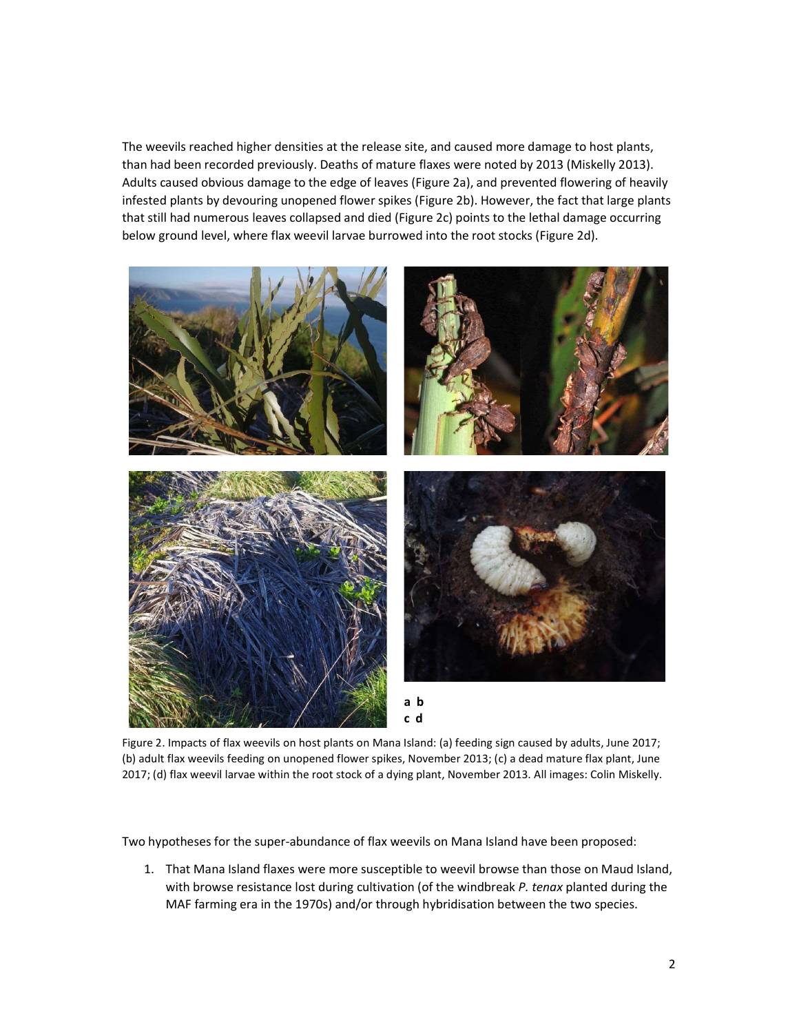The weevils reached higher densities at the release site, and caused more damage to host plants, than had been recorded previously. Deaths of mature flaxes were noted by 2013 (Miskelly 2013). Adults caused obvious damage to the edge of leaves (Figure 2a), and prevented flowering of heavily infested plants by devouring unopened flower spikes (Figure 2b). However, the fact that large plants that still had numerous leaves collapsed and died (Figure 2c) points to the lethal damage occurring below ground level, where flax weevil larvae burrowed into the root stocks (Figure 2d).



Figure 2. Impacts of flax weevils on host plants on Mana Island: (a) feeding sign caused by adults, June 2017; (b) adult flax weevils feeding on unopened flower spikes, November 2013; (c) a dead mature flax plant, June 2017; (d) flax weevil larvae within the root stock of a dying plant, November 2013. All images: Colin Miskelly.

Two hypotheses for the super-abundance of flax weevils on Mana Island have been proposed:

1. That Mana Island flaxes were more susceptible to weevil browse than those on Maud Island, with browse resistance lost during cultivation (of the windbreak P. tenax planted during the MAF farming era in the 1970s) and/or through hybridisation between the two species.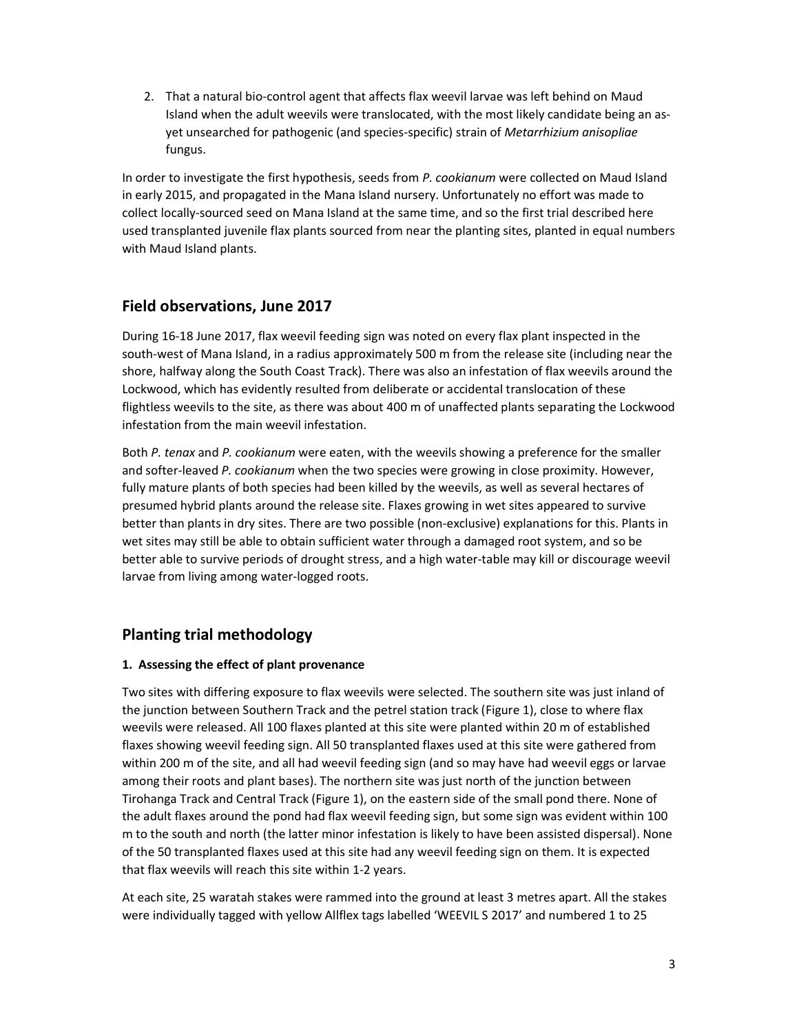2. That a natural bio-control agent that affects flax weevil larvae was left behind on Maud Island when the adult weevils were translocated, with the most likely candidate being an asyet unsearched for pathogenic (and species-specific) strain of Metarrhizium anisopliae fungus.

In order to investigate the first hypothesis, seeds from P. cookianum were collected on Maud Island in early 2015, and propagated in the Mana Island nursery. Unfortunately no effort was made to collect locally-sourced seed on Mana Island at the same time, and so the first trial described here used transplanted juvenile flax plants sourced from near the planting sites, planted in equal numbers with Maud Island plants.

# Field observations, June 2017

During 16-18 June 2017, flax weevil feeding sign was noted on every flax plant inspected in the south-west of Mana Island, in a radius approximately 500 m from the release site (including near the shore, halfway along the South Coast Track). There was also an infestation of flax weevils around the Lockwood, which has evidently resulted from deliberate or accidental translocation of these flightless weevils to the site, as there was about 400 m of unaffected plants separating the Lockwood infestation from the main weevil infestation.

Both P. tenax and P. cookianum were eaten, with the weevils showing a preference for the smaller and softer-leaved P. cookianum when the two species were growing in close proximity. However, fully mature plants of both species had been killed by the weevils, as well as several hectares of presumed hybrid plants around the release site. Flaxes growing in wet sites appeared to survive better than plants in dry sites. There are two possible (non-exclusive) explanations for this. Plants in wet sites may still be able to obtain sufficient water through a damaged root system, and so be better able to survive periods of drought stress, and a high water-table may kill or discourage weevil larvae from living among water-logged roots.

# Planting trial methodology

## 1. Assessing the effect of plant provenance

Two sites with differing exposure to flax weevils were selected. The southern site was just inland of the junction between Southern Track and the petrel station track (Figure 1), close to where flax weevils were released. All 100 flaxes planted at this site were planted within 20 m of established flaxes showing weevil feeding sign. All 50 transplanted flaxes used at this site were gathered from within 200 m of the site, and all had weevil feeding sign (and so may have had weevil eggs or larvae among their roots and plant bases). The northern site was just north of the junction between Tirohanga Track and Central Track (Figure 1), on the eastern side of the small pond there. None of the adult flaxes around the pond had flax weevil feeding sign, but some sign was evident within 100 m to the south and north (the latter minor infestation is likely to have been assisted dispersal). None of the 50 transplanted flaxes used at this site had any weevil feeding sign on them. It is expected that flax weevils will reach this site within 1-2 years.

At each site, 25 waratah stakes were rammed into the ground at least 3 metres apart. All the stakes were individually tagged with yellow Allflex tags labelled 'WEEVIL S 2017' and numbered 1 to 25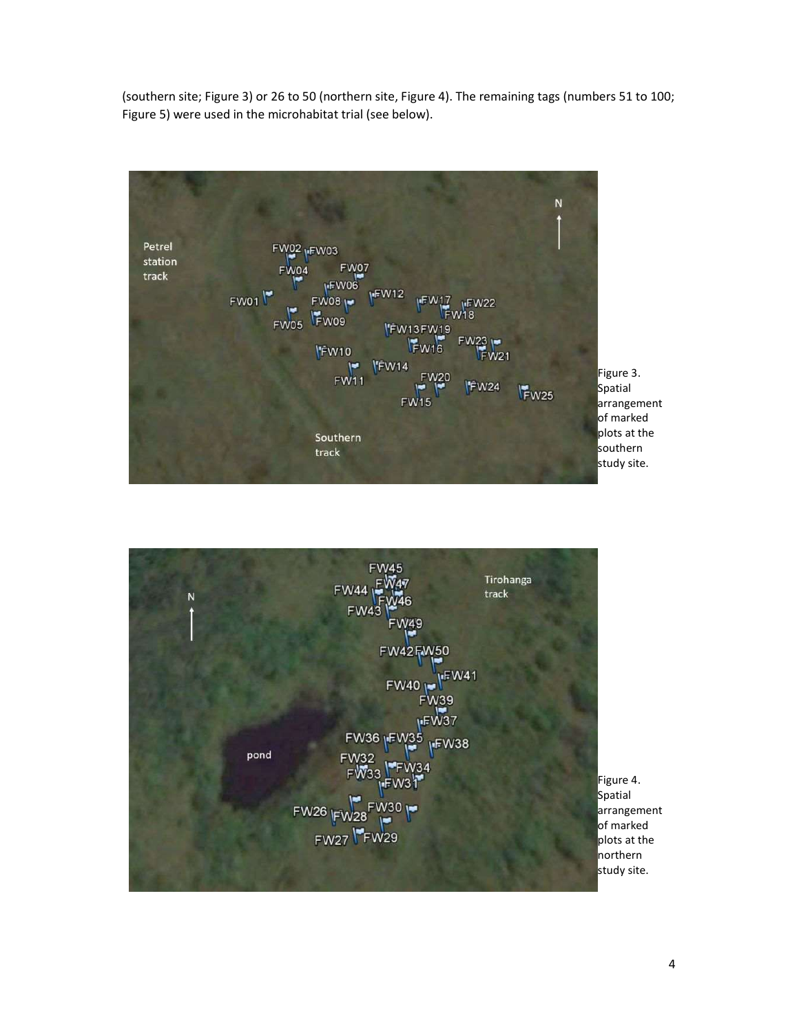(southern site; Figure 3) or 26 to 50 (northern site, Figure 4). The remaining tags (numbers 51 to 100; Figure 5) were used in the microhabitat trial (see below).



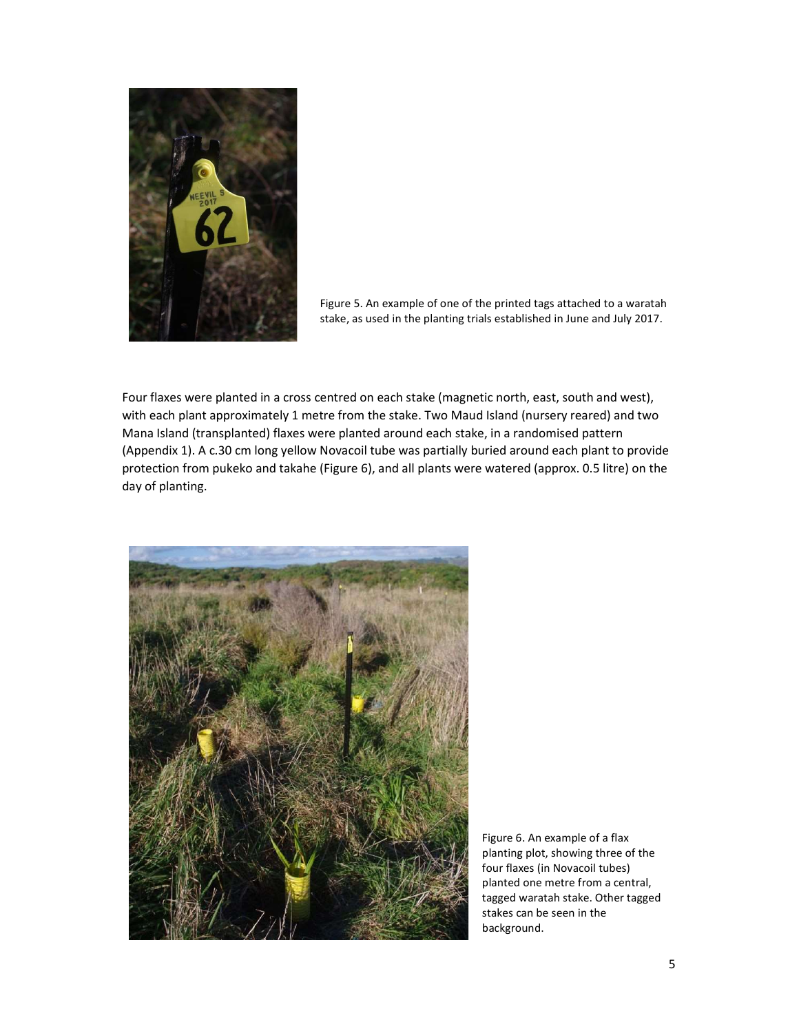

Figure 5. An example of one of the printed tags attached to a waratah stake, as used in the planting trials established in June and July 2017.

Four flaxes were planted in a cross centred on each stake (magnetic north, east, south and west), with each plant approximately 1 metre from the stake. Two Maud Island (nursery reared) and two Mana Island (transplanted) flaxes were planted around each stake, in a randomised pattern (Appendix 1). A c.30 cm long yellow Novacoil tube was partially buried around each plant to provide protection from pukeko and takahe (Figure 6), and all plants were watered (approx. 0.5 litre) on the day of planting.



Figure 6. An example of a flax planting plot, showing three of the four flaxes (in Novacoil tubes) planted one metre from a central, tagged waratah stake. Other tagged stakes can be seen in the background.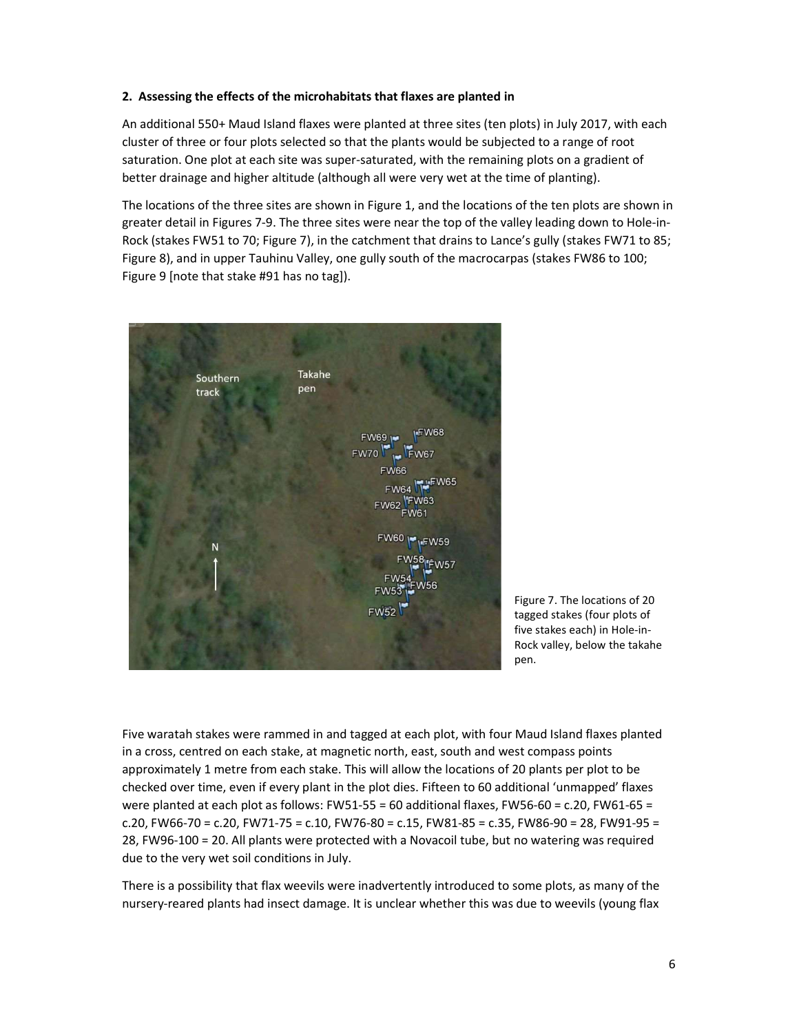#### 2. Assessing the effects of the microhabitats that flaxes are planted in

An additional 550+ Maud Island flaxes were planted at three sites (ten plots) in July 2017, with each cluster of three or four plots selected so that the plants would be subjected to a range of root saturation. One plot at each site was super-saturated, with the remaining plots on a gradient of better drainage and higher altitude (although all were very wet at the time of planting).

The locations of the three sites are shown in Figure 1, and the locations of the ten plots are shown in greater detail in Figures 7-9. The three sites were near the top of the valley leading down to Hole-in-Rock (stakes FW51 to 70; Figure 7), in the catchment that drains to Lance's gully (stakes FW71 to 85; Figure 8), and in upper Tauhinu Valley, one gully south of the macrocarpas (stakes FW86 to 100; Figure 9 [note that stake #91 has no tag]).



Figure 7. The locations of 20 tagged stakes (four plots of five stakes each) in Hole-in-Rock valley, below the takahe pen.

Five waratah stakes were rammed in and tagged at each plot, with four Maud Island flaxes planted in a cross, centred on each stake, at magnetic north, east, south and west compass points approximately 1 metre from each stake. This will allow the locations of 20 plants per plot to be checked over time, even if every plant in the plot dies. Fifteen to 60 additional 'unmapped' flaxes were planted at each plot as follows: FW51-55 = 60 additional flaxes, FW56-60 = c.20, FW61-65 = c.20, FW66-70 = c.20, FW71-75 = c.10, FW76-80 = c.15, FW81-85 = c.35, FW86-90 = 28, FW91-95 = 28, FW96-100 = 20. All plants were protected with a Novacoil tube, but no watering was required due to the very wet soil conditions in July.

There is a possibility that flax weevils were inadvertently introduced to some plots, as many of the nursery-reared plants had insect damage. It is unclear whether this was due to weevils (young flax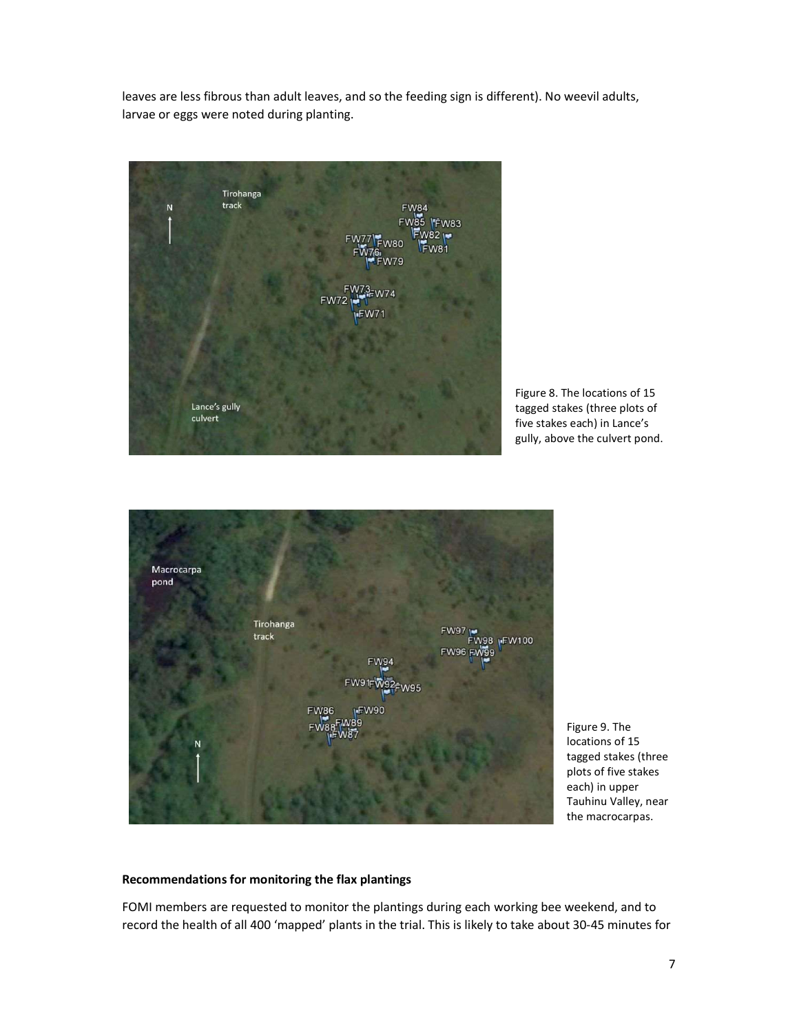leaves are less fibrous than adult leaves, and so the feeding sign is different). No weevil adults, larvae or eggs were noted during planting.

Tirohanga track **IFW83**  $82 M$ <sub>Rn</sub>  $N81$ Lance's gully culvert

Figure 8. The locations of 15 tagged stakes (three plots of five stakes each) in Lance's gully, above the culvert pond.



Figure 9. The locations of 15 tagged stakes (three plots of five stakes each) in upper Tauhinu Valley, near the macrocarpas.

#### Recommendations for monitoring the flax plantings

FOMI members are requested to monitor the plantings during each working bee weekend, and to record the health of all 400 'mapped' plants in the trial. This is likely to take about 30-45 minutes for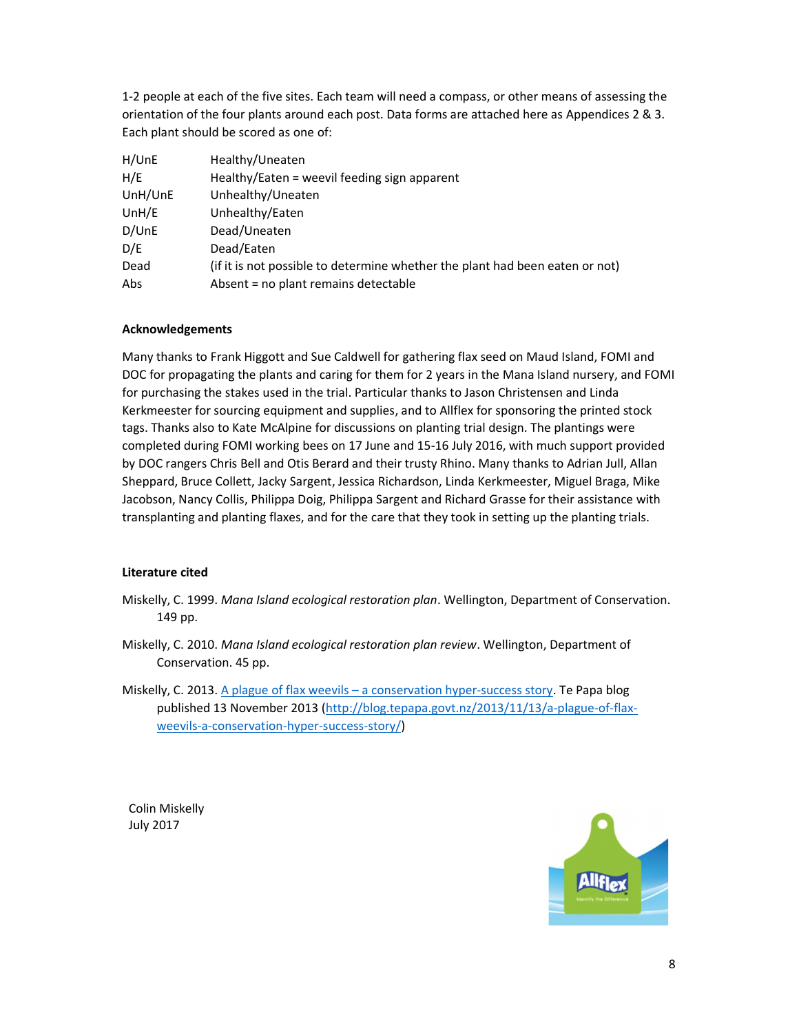1-2 people at each of the five sites. Each team will need a compass, or other means of assessing the orientation of the four plants around each post. Data forms are attached here as Appendices 2 & 3. Each plant should be scored as one of:

| H/UnE   | Healthy/Uneaten                                                              |
|---------|------------------------------------------------------------------------------|
| H/E     | Healthy/Eaten = weevil feeding sign apparent                                 |
| UnH/UnE | Unhealthy/Uneaten                                                            |
| UnH/E   | Unhealthy/Eaten                                                              |
| D/UnE   | Dead/Uneaten                                                                 |
| D/E     | Dead/Eaten                                                                   |
| Dead    | (if it is not possible to determine whether the plant had been eaten or not) |
| Abs     | Absent = no plant remains detectable                                         |

#### Acknowledgements

Many thanks to Frank Higgott and Sue Caldwell for gathering flax seed on Maud Island, FOMI and DOC for propagating the plants and caring for them for 2 years in the Mana Island nursery, and FOMI for purchasing the stakes used in the trial. Particular thanks to Jason Christensen and Linda Kerkmeester for sourcing equipment and supplies, and to Allflex for sponsoring the printed stock tags. Thanks also to Kate McAlpine for discussions on planting trial design. The plantings were completed during FOMI working bees on 17 June and 15-16 July 2016, with much support provided by DOC rangers Chris Bell and Otis Berard and their trusty Rhino. Many thanks to Adrian Jull, Allan Sheppard, Bruce Collett, Jacky Sargent, Jessica Richardson, Linda Kerkmeester, Miguel Braga, Mike Jacobson, Nancy Collis, Philippa Doig, Philippa Sargent and Richard Grasse for their assistance with transplanting and planting flaxes, and for the care that they took in setting up the planting trials.

#### Literature cited

- Miskelly, C. 1999. Mana Island ecological restoration plan. Wellington, Department of Conservation. 149 pp.
- Miskelly, C. 2010. Mana Island ecological restoration plan review. Wellington, Department of Conservation. 45 pp.
- Miskelly, C. 2013. A plague of flax weevils a conservation hyper-success story. Te Papa blog published 13 November 2013 (http://blog.tepapa.govt.nz/2013/11/13/a-plague-of-flaxweevils-a-conservation-hyper-success-story/)

Colin Miskelly July 2017

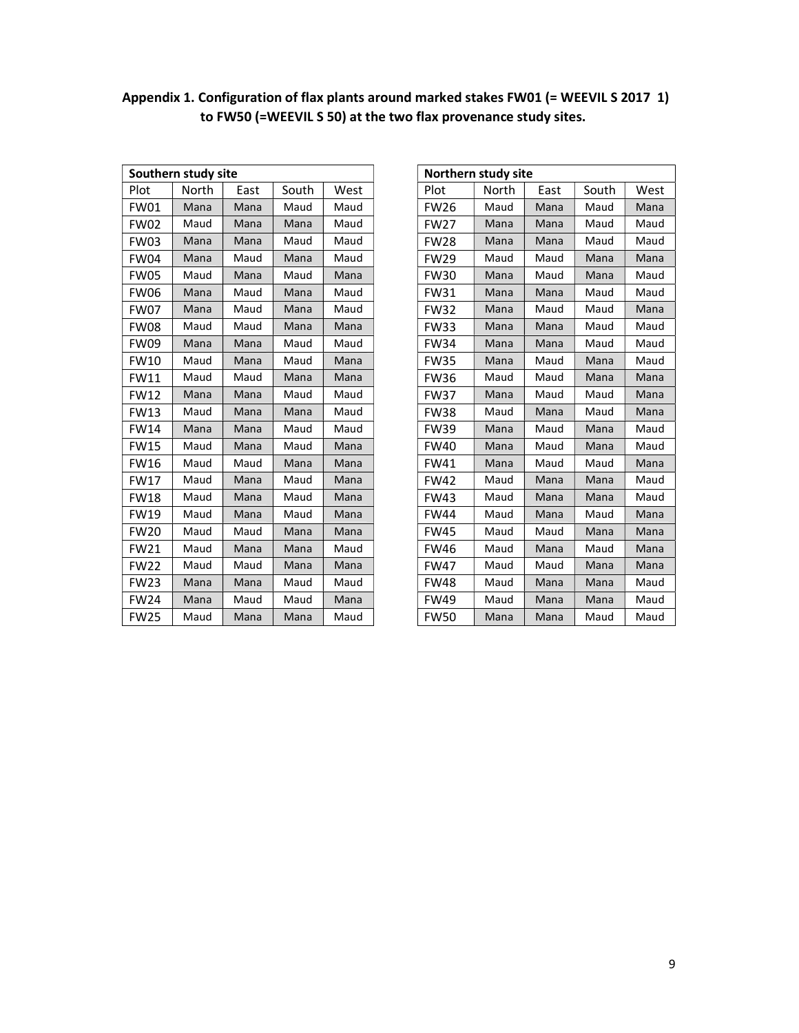|             | Southern study site |      | Northern study site |      |             |       |  |
|-------------|---------------------|------|---------------------|------|-------------|-------|--|
| Plot        | North               | East | South               | West | Plot        | North |  |
| <b>FW01</b> | Mana                | Mana | Maud                | Maud | <b>FW26</b> | Maud  |  |
| <b>FW02</b> | Maud                | Mana | Mana                | Maud | <b>FW27</b> | Mana  |  |
| <b>FW03</b> | Mana                | Mana | Maud                | Maud | <b>FW28</b> | Mana  |  |
| <b>FW04</b> | Mana                | Maud | Mana                | Maud | <b>FW29</b> | Maud  |  |
| <b>FW05</b> | Maud                | Mana | Maud                | Mana | <b>FW30</b> | Mana  |  |
| <b>FW06</b> | Mana                | Maud | Mana                | Maud | <b>FW31</b> | Mana  |  |
| <b>FW07</b> | Mana                | Maud | Mana                | Maud | <b>FW32</b> | Mana  |  |
| <b>FW08</b> | Maud                | Maud | Mana                | Mana | <b>FW33</b> | Mana  |  |
| <b>FW09</b> | Mana                | Mana | Maud                | Maud | <b>FW34</b> | Mana  |  |
| <b>FW10</b> | Maud                | Mana | Maud                | Mana | <b>FW35</b> | Mana  |  |
| <b>FW11</b> | Maud                | Maud | Mana                | Mana | <b>FW36</b> | Maud  |  |
| <b>FW12</b> | Mana                | Mana | Maud                | Maud | <b>FW37</b> | Mana  |  |
| <b>FW13</b> | Maud                | Mana | Mana                | Maud | <b>FW38</b> | Maud  |  |
| <b>FW14</b> | Mana                | Mana | Maud                | Maud | <b>FW39</b> | Mana  |  |
| <b>FW15</b> | Maud                | Mana | Maud                | Mana | <b>FW40</b> | Mana  |  |
| <b>FW16</b> | Maud                | Maud | Mana                | Mana | <b>FW41</b> | Mana  |  |
| <b>FW17</b> | Maud                | Mana | Maud                | Mana | <b>FW42</b> | Maud  |  |
| <b>FW18</b> | Maud                | Mana | Maud                | Mana | <b>FW43</b> | Maud  |  |
| <b>FW19</b> | Maud                | Mana | Maud                | Mana | <b>FW44</b> | Maud  |  |
| <b>FW20</b> | Maud                | Maud | Mana                | Mana | <b>FW45</b> | Maud  |  |
| <b>FW21</b> | Maud                | Mana | Mana                | Maud | <b>FW46</b> | Maud  |  |
| <b>FW22</b> | Maud                | Maud | Mana                | Mana | <b>FW47</b> | Maud  |  |
| <b>FW23</b> | Mana                | Mana | Maud                | Maud | <b>FW48</b> | Maud  |  |
| <b>FW24</b> | Mana                | Maud | Maud                | Mana | <b>FW49</b> | Maud  |  |
| <b>FW25</b> | Maud                | Mana | Mana                | Maud | <b>FW50</b> | Mana  |  |

| Appendix 1. Configuration of flax plants around marked stakes FW01 (= WEEVIL S 2017 1) |  |
|----------------------------------------------------------------------------------------|--|
| to FW50 (=WEEVIL S 50) at the two flax provenance study sites.                         |  |

| Southern study site |       |      |       |      | Northern study site |       |      |       |  |
|---------------------|-------|------|-------|------|---------------------|-------|------|-------|--|
| Plot                | North | East | South | West | Plot                | North | East | South |  |
| <b>FW01</b>         | Mana  | Mana | Maud  | Maud | <b>FW26</b>         | Maud  | Mana | Maud  |  |
| <b>FW02</b>         | Maud  | Mana | Mana  | Maud | <b>FW27</b>         | Mana  | Mana | Maud  |  |
| FW03                | Mana  | Mana | Maud  | Maud | <b>FW28</b>         | Mana  | Mana | Maud  |  |
| <b>FW04</b>         | Mana  | Maud | Mana  | Maud | <b>FW29</b>         | Maud  | Maud | Mana  |  |
| <b>FW05</b>         | Maud  | Mana | Maud  | Mana | <b>FW30</b>         | Mana  | Maud | Mana  |  |
| <b>FW06</b>         | Mana  | Maud | Mana  | Maud | <b>FW31</b>         | Mana  | Mana | Maud  |  |
| FW07                | Mana  | Maud | Mana  | Maud | <b>FW32</b>         | Mana  | Maud | Maud  |  |
| FW08                | Maud  | Maud | Mana  | Mana | <b>FW33</b>         | Mana  | Mana | Maud  |  |
| <b>FW09</b>         | Mana  | Mana | Maud  | Maud | <b>FW34</b>         | Mana  | Mana | Maud  |  |
| <b>FW10</b>         | Maud  | Mana | Maud  | Mana | <b>FW35</b>         | Mana  | Maud | Mana  |  |
| FW11                | Maud  | Maud | Mana  | Mana | <b>FW36</b>         | Maud  | Maud | Mana  |  |
| <b>FW12</b>         | Mana  | Mana | Maud  | Maud | <b>FW37</b>         | Mana  | Maud | Maud  |  |
| <b>FW13</b>         | Maud  | Mana | Mana  | Maud | <b>FW38</b>         | Maud  | Mana | Maud  |  |
| <b>FW14</b>         | Mana  | Mana | Maud  | Maud | <b>FW39</b>         | Mana  | Maud | Mana  |  |
| <b>FW15</b>         | Maud  | Mana | Maud  | Mana | <b>FW40</b>         | Mana  | Maud | Mana  |  |
| <b>FW16</b>         | Maud  | Maud | Mana  | Mana | <b>FW41</b>         | Mana  | Maud | Maud  |  |
| <b>FW17</b>         | Maud  | Mana | Maud  | Mana | <b>FW42</b>         | Maud  | Mana | Mana  |  |
| <b>FW18</b>         | Maud  | Mana | Maud  | Mana | <b>FW43</b>         | Maud  | Mana | Mana  |  |
| FW19                | Maud  | Mana | Maud  | Mana | <b>FW44</b>         | Maud  | Mana | Maud  |  |
| <b>FW20</b>         | Maud  | Maud | Mana  | Mana | <b>FW45</b>         | Maud  | Maud | Mana  |  |
| FW21                | Maud  | Mana | Mana  | Maud | <b>FW46</b>         | Maud  | Mana | Maud  |  |
| <b>FW22</b>         | Maud  | Maud | Mana  | Mana | <b>FW47</b>         | Maud  | Maud | Mana  |  |
| <b>FW23</b>         | Mana  | Mana | Maud  | Maud | <b>FW48</b>         | Maud  | Mana | Mana  |  |
| <b>FW24</b>         | Mana  | Maud | Maud  | Mana | <b>FW49</b>         | Maud  | Mana | Mana  |  |
| <b>FW25</b>         | Maud  | Mana | Mana  | Maud | <b>FW50</b>         | Mana  | Mana | Maud  |  |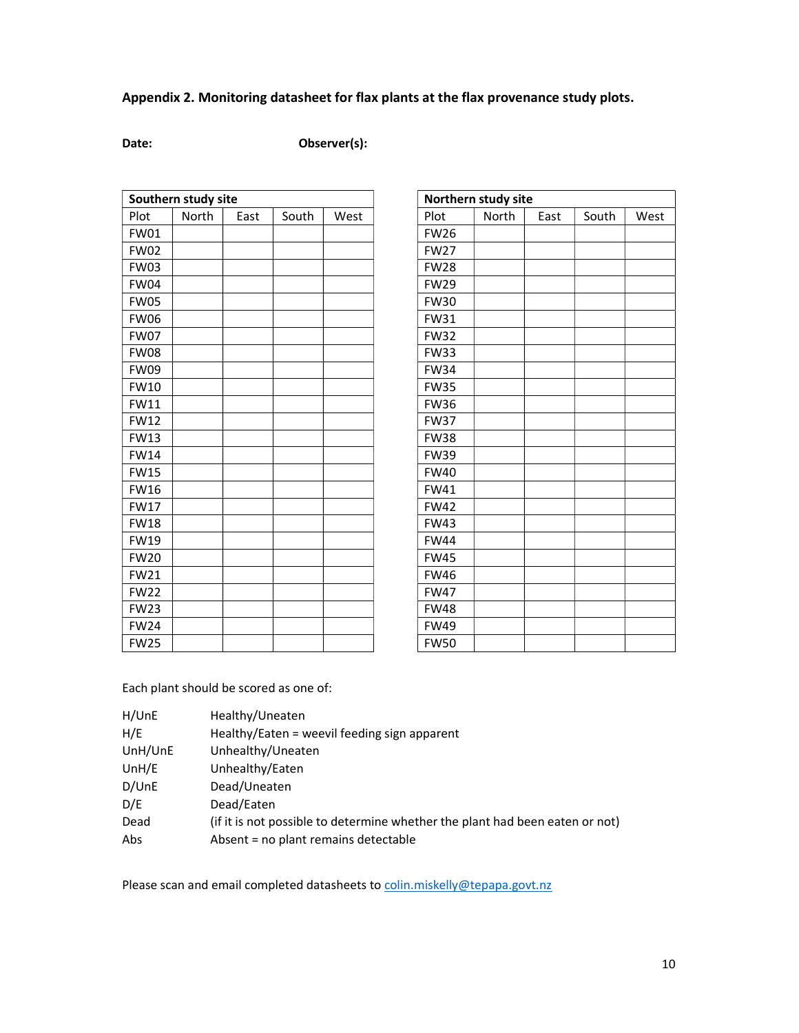# Appendix 2. Monitoring datasheet for flax plants at the flax provenance study plots.

## Date: Observer(s):

| North<br>Plot<br>South<br>West<br>Plot<br>East<br><b>FW01</b><br><b>FW26</b><br><b>FW02</b><br><b>FW27</b><br><b>FW03</b><br><b>FW28</b><br><b>FW04</b><br><b>FW29</b><br><b>FW05</b><br><b>FW30</b><br><b>FW06</b><br><b>FW31</b><br><b>FW07</b><br><b>FW32</b><br><b>FW08</b><br><b>FW33</b><br><b>FW09</b><br><b>FW34</b><br><b>FW10</b><br><b>FW35</b><br><b>FW11</b><br><b>FW36</b><br><b>FW12</b><br><b>FW37</b><br><b>FW13</b><br><b>FW38</b><br><b>FW14</b><br><b>FW39</b><br><b>FW15</b><br><b>FW40</b><br><b>FW16</b><br><b>FW41</b><br><b>FW17</b><br><b>FW42</b><br><b>FW18</b><br><b>FW43</b><br><b>FW19</b><br><b>FW44</b><br><b>FW20</b><br><b>FW45</b><br><b>FW21</b><br><b>FW46</b><br><b>FW22</b><br><b>FW47</b><br><b>FW23</b><br><b>FW48</b><br><b>FW24</b><br><b>FW49</b> | Southern study site |  |  | Northern study site |       |  |
|------------------------------------------------------------------------------------------------------------------------------------------------------------------------------------------------------------------------------------------------------------------------------------------------------------------------------------------------------------------------------------------------------------------------------------------------------------------------------------------------------------------------------------------------------------------------------------------------------------------------------------------------------------------------------------------------------------------------------------------------------------------------------------------------|---------------------|--|--|---------------------|-------|--|
|                                                                                                                                                                                                                                                                                                                                                                                                                                                                                                                                                                                                                                                                                                                                                                                                |                     |  |  |                     | North |  |
|                                                                                                                                                                                                                                                                                                                                                                                                                                                                                                                                                                                                                                                                                                                                                                                                |                     |  |  |                     |       |  |
|                                                                                                                                                                                                                                                                                                                                                                                                                                                                                                                                                                                                                                                                                                                                                                                                |                     |  |  |                     |       |  |
|                                                                                                                                                                                                                                                                                                                                                                                                                                                                                                                                                                                                                                                                                                                                                                                                |                     |  |  |                     |       |  |
|                                                                                                                                                                                                                                                                                                                                                                                                                                                                                                                                                                                                                                                                                                                                                                                                |                     |  |  |                     |       |  |
|                                                                                                                                                                                                                                                                                                                                                                                                                                                                                                                                                                                                                                                                                                                                                                                                |                     |  |  |                     |       |  |
|                                                                                                                                                                                                                                                                                                                                                                                                                                                                                                                                                                                                                                                                                                                                                                                                |                     |  |  |                     |       |  |
|                                                                                                                                                                                                                                                                                                                                                                                                                                                                                                                                                                                                                                                                                                                                                                                                |                     |  |  |                     |       |  |
|                                                                                                                                                                                                                                                                                                                                                                                                                                                                                                                                                                                                                                                                                                                                                                                                |                     |  |  |                     |       |  |
|                                                                                                                                                                                                                                                                                                                                                                                                                                                                                                                                                                                                                                                                                                                                                                                                |                     |  |  |                     |       |  |
|                                                                                                                                                                                                                                                                                                                                                                                                                                                                                                                                                                                                                                                                                                                                                                                                |                     |  |  |                     |       |  |
|                                                                                                                                                                                                                                                                                                                                                                                                                                                                                                                                                                                                                                                                                                                                                                                                |                     |  |  |                     |       |  |
|                                                                                                                                                                                                                                                                                                                                                                                                                                                                                                                                                                                                                                                                                                                                                                                                |                     |  |  |                     |       |  |
|                                                                                                                                                                                                                                                                                                                                                                                                                                                                                                                                                                                                                                                                                                                                                                                                |                     |  |  |                     |       |  |
|                                                                                                                                                                                                                                                                                                                                                                                                                                                                                                                                                                                                                                                                                                                                                                                                |                     |  |  |                     |       |  |
|                                                                                                                                                                                                                                                                                                                                                                                                                                                                                                                                                                                                                                                                                                                                                                                                |                     |  |  |                     |       |  |
|                                                                                                                                                                                                                                                                                                                                                                                                                                                                                                                                                                                                                                                                                                                                                                                                |                     |  |  |                     |       |  |
|                                                                                                                                                                                                                                                                                                                                                                                                                                                                                                                                                                                                                                                                                                                                                                                                |                     |  |  |                     |       |  |
|                                                                                                                                                                                                                                                                                                                                                                                                                                                                                                                                                                                                                                                                                                                                                                                                |                     |  |  |                     |       |  |
|                                                                                                                                                                                                                                                                                                                                                                                                                                                                                                                                                                                                                                                                                                                                                                                                |                     |  |  |                     |       |  |
|                                                                                                                                                                                                                                                                                                                                                                                                                                                                                                                                                                                                                                                                                                                                                                                                |                     |  |  |                     |       |  |
|                                                                                                                                                                                                                                                                                                                                                                                                                                                                                                                                                                                                                                                                                                                                                                                                |                     |  |  |                     |       |  |
|                                                                                                                                                                                                                                                                                                                                                                                                                                                                                                                                                                                                                                                                                                                                                                                                |                     |  |  |                     |       |  |
|                                                                                                                                                                                                                                                                                                                                                                                                                                                                                                                                                                                                                                                                                                                                                                                                |                     |  |  |                     |       |  |
|                                                                                                                                                                                                                                                                                                                                                                                                                                                                                                                                                                                                                                                                                                                                                                                                |                     |  |  |                     |       |  |
| <b>FW25</b>                                                                                                                                                                                                                                                                                                                                                                                                                                                                                                                                                                                                                                                                                                                                                                                    |                     |  |  | <b>FW50</b>         |       |  |

| Southern study site |       |      |       |      |
|---------------------|-------|------|-------|------|
| Plot                | North | East | South | West |
| FW01                |       |      |       |      |
| <b>FW02</b>         |       |      |       |      |
| FW03                |       |      |       |      |
| FW04                |       |      |       |      |
| <b>FW05</b>         |       |      |       |      |
| <b>FW06</b>         |       |      |       |      |
| <b>FW07</b>         |       |      |       |      |
| <b>FW08</b>         |       |      |       |      |
| <b>FW09</b>         |       |      |       |      |
| FW10                |       |      |       |      |
| <b>FW11</b>         |       |      |       |      |
| <b>FW12</b>         |       |      |       |      |
| <b>FW13</b>         |       |      |       |      |
| <b>FW14</b>         |       |      |       |      |
| <b>FW15</b>         |       |      |       |      |
| <b>FW16</b>         |       |      |       |      |
| <b>FW17</b>         |       |      |       |      |
| <b>FW18</b>         |       |      |       |      |
| <b>FW19</b>         |       |      |       |      |
| <b>FW20</b>         |       |      |       |      |
| <b>FW21</b>         |       |      |       |      |
| <b>FW22</b>         |       |      |       |      |
| <b>FW23</b>         |       |      |       |      |
| <b>FW24</b>         |       |      |       |      |
| <b>FW25</b>         |       |      |       |      |

Each plant should be scored as one of:

| H/UnE   | Healthy/Uneaten                                                              |
|---------|------------------------------------------------------------------------------|
| H/E     | Healthy/Eaten = weevil feeding sign apparent                                 |
| UnH/UnE | Unhealthy/Uneaten                                                            |
| UnH/E   | Unhealthy/Eaten                                                              |
| D/UnE   | Dead/Uneaten                                                                 |
| D/E     | Dead/Eaten                                                                   |
| Dead    | (if it is not possible to determine whether the plant had been eaten or not) |
| Abs     | Absent = no plant remains detectable                                         |

Please scan and email completed datasheets to colin.miskelly@tepapa.govt.nz